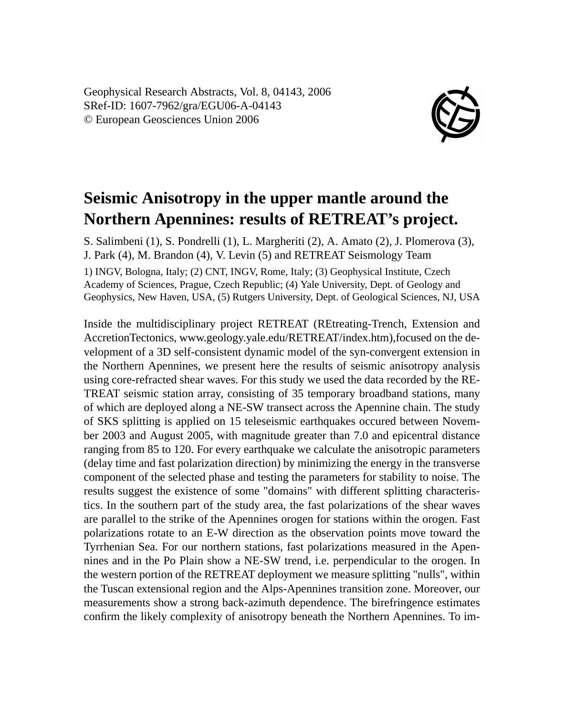Geophysical Research Abstracts, Vol. 8, 04143, 2006 SRef-ID: 1607-7962/gra/EGU06-A-04143 © European Geosciences Union 2006



## **Seismic Anisotropy in the upper mantle around the Northern Apennines: results of RETREAT's project.**

S. Salimbeni (1), S. Pondrelli (1), L. Margheriti (2), A. Amato (2), J. Plomerova (3), J. Park (4), M. Brandon (4), V. Levin (5) and RETREAT Seismology Team 1) INGV, Bologna, Italy; (2) CNT, INGV, Rome, Italy; (3) Geophysical Institute, Czech Academy of Sciences, Prague, Czech Republic; (4) Yale University, Dept. of Geology and Geophysics, New Haven, USA, (5) Rutgers University, Dept. of Geological Sciences, NJ, USA

Inside the multidisciplinary project RETREAT (REtreating-Trench, Extension and AccretionTectonics, www.geology.yale.edu/RETREAT/index.htm),focused on the development of a 3D self-consistent dynamic model of the syn-convergent extension in the Northern Apennines, we present here the results of seismic anisotropy analysis using core-refracted shear waves. For this study we used the data recorded by the RE-TREAT seismic station array, consisting of 35 temporary broadband stations, many of which are deployed along a NE-SW transect across the Apennine chain. The study of SKS splitting is applied on 15 teleseismic earthquakes occured between November 2003 and August 2005, with magnitude greater than 7.0 and epicentral distance ranging from 85 to 120. For every earthquake we calculate the anisotropic parameters (delay time and fast polarization direction) by minimizing the energy in the transverse component of the selected phase and testing the parameters for stability to noise. The results suggest the existence of some "domains" with different splitting characteristics. In the southern part of the study area, the fast polarizations of the shear waves are parallel to the strike of the Apennines orogen for stations within the orogen. Fast polarizations rotate to an E-W direction as the observation points move toward the Tyrrhenian Sea. For our northern stations, fast polarizations measured in the Apennines and in the Po Plain show a NE-SW trend, i.e. perpendicular to the orogen. In the western portion of the RETREAT deployment we measure splitting "nulls", within the Tuscan extensional region and the Alps-Apennines transition zone. Moreover, our measurements show a strong back-azimuth dependence. The birefringence estimates confirm the likely complexity of anisotropy beneath the Northern Apennines. To im